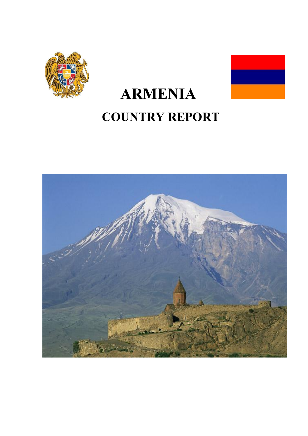

# **ARMENIA COUNTRY REPORT**

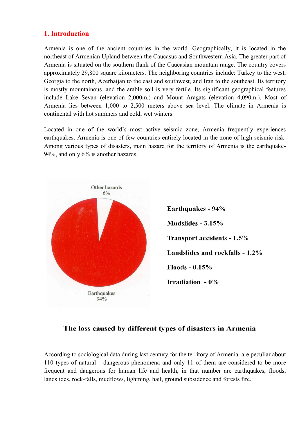## **1. Introduction**

Armenia is one of the ancient countries in the world. Geographically, it is located in the northeast of Armenian Upland between the Caucasus and Southwestern Asia. The greater part of Armenia is situated on the southern flank of the Caucasian mountain range. The country covers approximately 29,800 square kilometers. The neighboring countries include: Turkey to the west, Georgia to the north, Azerbaijan to the east and southwest, and Iran to the southeast. Its territory is mostly mountainous, and the arable soil is very fertile. Its significant geographical features include Lake Sevan (elevation 2,000m.) and Mount Aragats (elevation 4,090m.). Most of Armenia lies between 1,000 to 2,500 meters above sea level. The climate in Armenia is continental with hot summers and cold, wet winters.

Located in one of the world's most active seismic zone, Armenia frequently experiences earthquakes. Armenia is one of few countries entirely located in the zone of high seismic risk. Among various types of disasters, main hazard for the territory of Armenia is the earthquake-94%, and only 6% is another hazards.



## The loss caused by different types of disasters in Armenia

According to sociological data during last century for the territory of Armenia are peculiar about 110 types of natural dangerous phenomena and only 11 of them are considered to be more frequent and dangerous for human life and health, in that number are earthquakes, floods, landslides, rock-falls, mudflows, lightning, hail, ground subsidence and forests fire.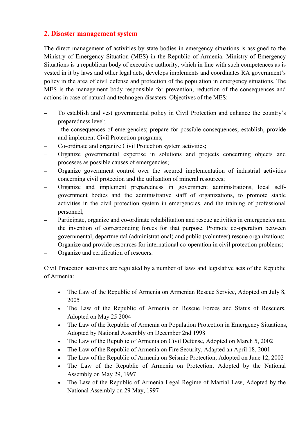## **2. Disaster management system**

The direct management of activities by state bodies in emergency situations is assigned to the Ministry of Emergency Situation (MES) in the Republic of Armenia. Ministry of Emergency Situations is a republican body of executive authority, which in line with such competences as is vested in it by laws and other legal acts, develops implements and coordinates RA government's policy in the area of civil defense and protection of the population in emergency situations. The MES is the management body responsible for prevention, reduction of the consequences and actions in case of natural and technogen disasters. Objectives of the MES:

- To establish and vest governmental policy in Civil Protection and enhance the country's preparedness level;
- the consequences of emergencies; prepare for possible consequences; establish, provide and implement Civil Protection programs;
- Co-ordinate and organize Civil Protection system activities;
- Organize governmental expertise in solutions and projects concerning objects and processes as possible causes of emergencies;
- Organize government control over the secured implementation of industrial activities concerning civil protection and the utilization of mineral resources;
- Organize and implement preparedness in government administrations, local selfgovernment bodies and the administrative staff of organizations, to promote stable activities in the civil protection system in emergencies, and the training of professional personnel;
- Participate, organize and co-ordinate rehabilitation and rescue activities in emergencies and the invention of corresponding forces for that purpose. Promote co-operation between governmental, departmental (administrational) and public (volunteer) rescue organizations;
- Organize and provide resources for international co-operation in civil protection problems;
- Organize and certification of rescuers.

Civil Protection activities are regulated by a number of laws and legislative acts of the Republic of Armenia:

- The Law of the Republic of Armenia on Armenian Rescue Service, Adopted on July 8, 2005
- The Law of the Republic of Armenia on Rescue Forces and Status of Rescuers, Adopted on May 25 2004
- The Law of the Republic of Armenia on Population Protection in Emergency Situations, Adopted by National Assembly on December 2nd 1998
- The Law of the Republic of Armenia on Civil Defense, Adopted on March 5, 2002
- The Law of the Republic of Armenia on Fire Security, Adapted an April 18, 2001
- The Law of the Republic of Armenia on Seismic Protection, Adopted on June 12, 2002
- The Law of the Republic of Armenia on Protection, Adopted by the National Assembly on May 29, 1997
- The Law of the Republic of Armenia Legal Regime of Martial Law, Adopted by the National Assembly on 29 May, 1997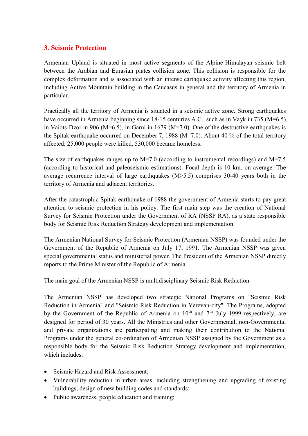## **3. Seismic Protection**

Armenian Upland is situated in most active segments of the Alpine-Himalayan seismic belt between the Arabian and Eurasian plates collision zone. This collision is responsible for the complex deformation and is associated with an intense earthquake activity affecting this region, including Active Mountain building in the Caucasus in general and the territory of Armenia in particular.

Practically all the territory of Armenia is situated in a seismic active zone. Strong earthquakes have occurred in Armenia beginning since 18-15 centuries A.C., such as in Vayk in 735 (M=6.5), in Vaiots-Dzor in 906 (M=6.5), in Garni in 1679 (M=7.0). One of the destructive earthquakes is the Spitak earthquake occurred on December 7, 1988 (M=7.0). About 40 % of the total territory affected; 25,000 people were killed, 530,000 became homeless.

The size of earthquakes ranges up to  $M=7.0$  (according to instrumental recordings) and  $M=7.5$ (according to historical and paleoseismic estimations). Focal depth is 10 km. on average. The average recurrence interval of large earthquakes (M>5.5) comprises 30-40 years both in the territory of Armenia and adjacent territories.

After the catastrophic Spitak earthquake of 1988 the government of Armenia starts to pay great attention to seismic protection in his policy. The first main step was the creation of National Survey for Seismic Protection under the Government of RA (NSSP RA), as a state responsible body for Seismic Risk Reduction Strategy development and implementation.

The Armenian National Survey for Seismic Protection (Armenian NSSP) was founded under the Government of the Republic of Armenia on July 17, 1991. The Armenian NSSP was given special governmental status and ministerial power. The President of the Armenian NSSP directly reports to the Prime Minister of the Republic of Armenia.

The main goal of the Armenian NSSP is multidisciplinary Seismic Risk Reduction.

The Armenian NSSP has developed two strategic National Programs on "Seismic Risk Reduction in Armenia" and "Seismic Risk Reduction in Yerevan-city". The Programs, adopted by the Government of the Republic of Armenia on  $10^{th}$  and  $7^{th}$  July 1999 respectively, are designed for period of 30 years. All the Ministries and other Governmental, non-Governmental and private organizations are participating and making their contribution to the National Programs under the general co-ordination of Armenian NSSP assigned by the Government as a responsible body for the Seismic Risk Reduction Strategy development and implementation, which includes:

- Seismic Hazard and Risk Assessment;
- Vulnerability reduction in urban areas, including strengthening and upgrading of existing buildings, design of new building codes and standards;
- Public awareness, people education and training;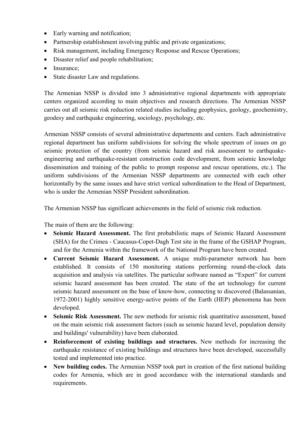- Early warning and notification;
- Partnership establishment involving public and private organizations;
- Risk management, including Emergency Response and Rescue Operations;
- Disaster relief and people rehabilitation;
- Insurance:
- State disaster Law and regulations.

The Armenian NSSP is divided into 3 administrative regional departments with appropriate centers organized according to main objectives and research directions. The Armenian NSSP carries out all seismic risk reduction related studies including geophysics, geology, geochemistry, geodesy and earthquake engineering, sociology, psychology, etc.

Armenian NSSP consists of several administrative departments and centers. Each administrative regional department has uniform subdivisions for solving the whole spectrum of issues on go seismic protection of the country (from seismic hazard and risk assessment to earthquakeengineering and earthquake-resistant construction code development, from seismic knowledge dissemination and training of the public to prompt response and rescue operations, etc.). The uniform subdivisions of the Armenian NSSP departments are connected with each other horizontally by the same issues and have strict vertical subordination to the Head of Department, who is under the Armenian NSSP President subordination.

The Armenian NSSP has significant achievements in the field of seismic risk reduction.

The main of them are the following:

- **Seismic Hazard Assessment.** The first probabilistic maps of Seismic Hazard Assessment (SHA) for the Crimea - Caucasus-Copet-Dagh Test site in the frame of the GSHAP Program, and for the Armenia within the framework of the National Program have been created.
- **Current Seismic Hazard Assessment.** A unique multi-parameter network has been established. It consists of 150 monitoring stations performing round-the-clock data acquisition and analysis via satellites. The particular software named as "Expert" for current seismic hazard assessment has been created. The state of the art technology for current seismic hazard assessment on the base of know-how, connecting to discovered (Balassanian, 1972-2001) highly sensitive energy-active points of the Earth (HEP) phenomena has been developed.
- **Seismic Risk Assessment.** The new methods for seismic risk quantitative assessment, based on the main seismic risk assessment factors (such as seismic hazard level, population density and buildings' vulnerability) have been elaborated.
- **Reinforcement of existing buildings and structures.** New methods for increasing the earthquake resistance of existing buildings and structures have been developed, successfully tested and implemented into practice.
- New building codes. The Armenian NSSP took part in creation of the first national building codes for Armenia, which are in good accordance with the international standards and requirements.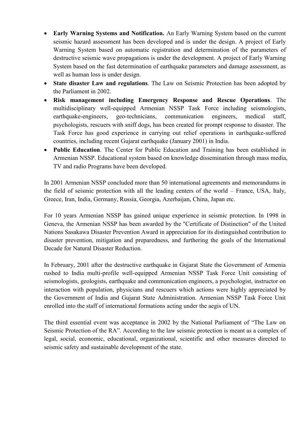- **Early Warning Systems and Notification.** An Early Warning System based on the current seismic hazard assessment has been developed and is under the design. A project of Early Warning System based on automatic registration and determination of the parameters of destructive seismic wave propagations is under the development. A project of Early Warning System based on the fast determination of earthquake parameters and damage assessment, as well as human loss is under design.
- **State disaster Law and regulations**. The Law on Seismic Protection has been adopted by the Parliament in 2002.
- **Risk management including Emergency Response and Rescue Operations**. The multidisciplinary well-equipped Armenian NSSP Task Force including seismologists, earthquake-engineers, geo-technicians, communication engineers, medical staff, psychologists, rescuers with sniff dogs, has been created for prompt response to disaster. The Task Force has good experience in carrying out relief operations in earthquake-suffered countries, including recent Gujarat earthquake (January 2001) in India.
- **Public Education**. The Center for Public Education and Training has been established in Armenian NSSP. Educational system based on knowledge dissemination through mass media, TV and radio Programs have been developed.

In 2001 Armenian NSSP concluded more than 50 international agreements and memorandums in the field of seismic protection with all the leading centers of the world – France, USA, Italy, Greece, Iran, India, Germany, Russia, Georgia, Azerbaijan, China, Japan etc.

For 10 years Armenian NSSP has gained unique experience in seismic protection. In 1998 in Geneva, the Armenian NSSP has been awarded by the "Certificate of Distinction" of the United Nations Sasakawa Disaster Prevention Award in appreciation for its distinguished contribution to disaster prevention, mitigation and preparedness, and furthering the goals of the International Decade for Natural Disaster Reduction.

In February, 2001 after the destructive earthquake in Gujarat State the Government of Armenia rushed to India multi-profile well-equipped Armenian NSSP Task Force Unit consisting of seismologists, geologists, earthquake and communication engineers, a psychologist, instructor on interaction with population, physicians and rescuers which actions were highly appreciated by the Government of India and Gujarat State Administration. Armenian NSSP Task Force Unit enrolled into the staff of international formations acting under the aegis of UN.

The third essential event was acceptance in 2002 by the National Parliament of "The Law on Seismic Protection of the RA". According to the law seismic protection is meant as a complex of legal, social, economic, educational, organizational, scientific and other measures directed to seismic safety and sustainable development of the state.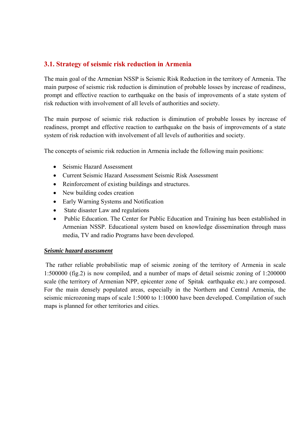## **3.1. Strategy of seismic risk reduction in Armenia**

The main goal of the Armenian NSSP is Seismic Risk Reduction in the territory of Armenia. The main purpose of seismic risk reduction is diminution of probable losses by increase of readiness, prompt and effective reaction to earthquake on the basis of improvements of a state system of risk reduction with involvement of all levels of authorities and society.

The main purpose of seismic risk reduction is diminution of probable losses by increase of readiness, prompt and effective reaction to earthquake on the basis of improvements of a state system of risk reduction with involvement of all levels of authorities and society.

The concepts of seismic risk reduction in Armenia include the following main positions:

- Seismic Hazard Assessment
- Current Seismic Hazard Assessment Seismic Risk Assessment
- Reinforcement of existing buildings and structures.
- New building codes creation
- Early Warning Systems and Notification
- State disaster Law and regulations
- Public Education. The Center for Public Education and Training has been established in Armenian NSSP. Educational system based on knowledge dissemination through mass media, TV and radio Programs have been developed.

#### *Seismic hazard assessment*

The rather reliable probabilistic map of seismic zoning of the territory of Armenia in scale 1:500000 (fig.2) is now compiled, and a number of maps of detail seismic zoning of 1:200000 scale (the territory of Armenian NPP, epicenter zone of Spitak earthquake etc.) are composed. For the main densely populated areas, especially in the Northern and Central Armenia, the seismic microzoning maps of scale 1:5000 to 1:10000 have been developed. Compilation of such maps is planned for other territories and cities.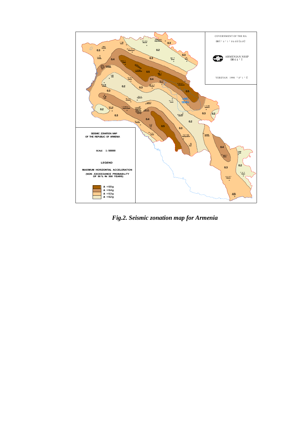

*Fig.2. Seismic zonation map for Armenia*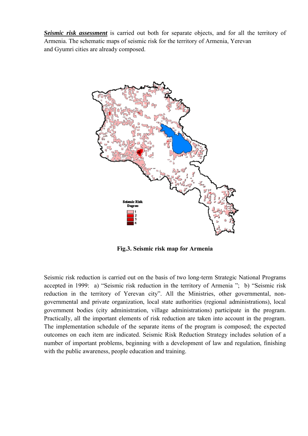*Seismic risk assessment* is carried out both for separate objects, and for all the territory of Armenia. The schematic maps of seismic risk for the territory of Armenia, Yerevan and Gyumri cities are already composed.



**Fig.3. Seismic risk map for Armenia** 

Seismic risk reduction is carried out on the basis of two long-term Strategic National Programs accepted in 1999: a) "Seismic risk reduction in the territory of Armenia "; b) "Seismic risk reduction in the territory of Yerevan city". All the Ministries, other governmental, nongovernmental and private organization, local state authorities (regional administrations), local government bodies (city administration, village administrations) participate in the program. Practically, all the important elements of risk reduction are taken into account in the program. The implementation schedule of the separate items of the program is composed; the expected outcomes on each item are indicated. Seismic Risk Reduction Strategy includes solution of a number of important problems, beginning with a development of law and regulation, finishing with the public awareness, people education and training.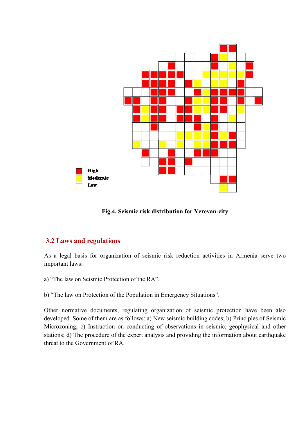

**Fig.4. Seismic risk distribution for Yerevan-city**

## **3.2 Laws and regulations**

As a legal basis for organization of seismic risk reduction activities in Armenia serve two important laws:

a) "The law on Seismic Protection of the RA".

b) "The law on Protection of the Population in Emergency Situations".

Other normative documents, regulating organization of seismic protection have been also developed. Some of them are as follows: а) New seismic building codes; b) Principles of Seismic Microzoning; c) Instruction on conducting of observations in seismic, geophysical and other stations; d) The procedure of the expert analysis and providing the information about earthquake threat to the Government of RА.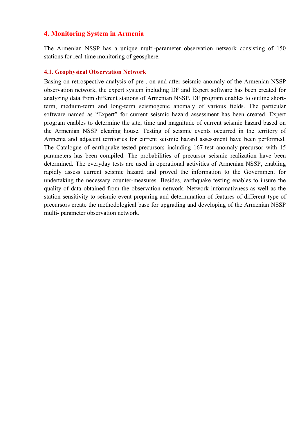#### **4. Monitoring System in Armenia**

The Armenian NSSP has a unique multi-parameter observation network consisting of 150 stations for real-time monitoring of geosphere.

#### **4.1. Geophysical Observation Network**

Basing on retrospective analysis of pre-, on and after seismic anomaly of the Armenian NSSP observation network, the expert system including DF and Expert software has been created for analyzing data from different stations of Armenian NSSP. DF program enables to outline shortterm, medium-term and long-term seismogenic anomaly of various fields. The particular software named as "Expert" for current seismic hazard assessment has been created. Expert program enables to determine the site, time and magnitude of current seismic hazard based on the Armenian NSSP clearing house. Testing of seismic events occurred in the territory of Armenia and adjacent territories for current seismic hazard assessment have been performed. The Catalogue of earthquake-tested precursors including 167-test anomaly-precursor with 15 parameters has been compiled. The probabilities of precursor seismic realization have been determined. The everyday tests are used in operational activities of Armenian NSSP, enabling rapidly assess current seismic hazard and proved the information to the Government for undertaking the necessary counter-measures. Besides, earthquake testing enables to insure the quality of data obtained from the observation network. Network informativness as well as the station sensitivity to seismic event preparing and determination of features of different type of precursors create the methodological base for upgrading and developing of the Armenian NSSP multi- parameter observation network.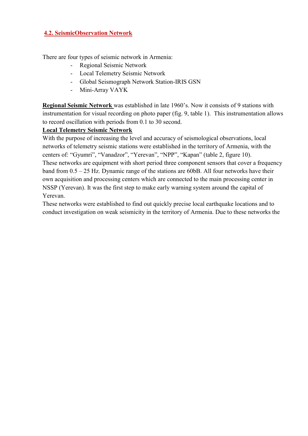#### **4.2. SeismicObservation Network**

There are four types of seismic network in Armenia:

- Regional Seismic Network
- Local Telemetry Seismic Network
- Global Seismograph Network Station-IRIS GSN
- Mini-Array VAYK

**Regional Seismic Network** was established in late 1960's. Now it consists of 9 stations with instrumentation for visual recording on photo paper (fig. 9, table 1). This instrumentation allows to record oscillation with periods from 0.1 to 30 second.

### **Local Telemetry Seismic Network**

With the purpose of increasing the level and accuracy of seismological observations, local networks of telemetry seismic stations were established in the territory of Armenia, with the centers of: "Gyumri", "Vanadzor", "Yerevan", "NPP", "Kapan" (table 2, figure 10). These networks are equipment with short period three component sensors that cover a frequency band from 0.5 – 25 Hz. Dynamic range of the stations are 60bB. All four networks have their own acquisition and processing centers which are connected to the main processing center in NSSP (Yerevan). It was the first step to make early warning system around the capital of Yerevan.

These networks were established to find out quickly precise local earthquake locations and to conduct investigation on weak seismicity in the territory of Armenia. Due to these networks the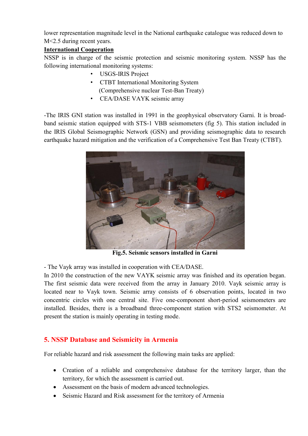lower representation magnitude level in the National earthquake catalogue was reduced down to M<2.5 during recent years.

## **International Cooperation**

NSSP is in charge of the seismic protection and seismic monitoring system. NSSP has the following international monitoring systems:

- USGS-IRIS Project
- CTBT International Monitoring System (Comprehensive nuclear Test-Ban Treaty)
- CEA/DASE VAYK seismic array

-The IRIS GNI station was installed in 1991 in the geophysical observatory Garni. It is broadband seismic station equipped with STS-1 VBB seismometers (fig 5). This station included in the IRIS Global Seismographic Network (GSN) and providing seismographic data to research earthquake hazard mitigation and the verification of a Comprehensive Test Ban Treaty (CTBT).



**Fig.5. Seismic sensors installed in Garni** 

- The Vayk array was installed in cooperation with CEA/DASE.

In 2010 the construction of the new VAYK seismic array was finished and its operation began. The first seismic data were received from the array in January 2010. Vayk seismic array is located near to Vayk town. Seismic array consists of 6 observation points, located in two concentric circles with one central site. Five one-component short-period seismometers are installed. Besides, there is a broadband three-component station with STS2 seismometer. At present the station is mainly operating in testing mode.

# **5. NSSP Database and Seismicity in Armenia**

For reliable hazard and risk assessment the following main tasks are applied:

- Creation of a reliable and comprehensive database for the territory larger, than the territory, for which the assessment is carried out.
- Assessment on the basis of modern advanced technologies.
- Seismic Hazard and Risk assessment for the territory of Armenia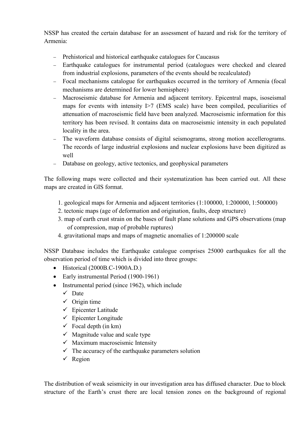NSSP has created the certain database for an assessment of hazard and risk for the territory of Armenia:

- Prehistorical and historical earthquake catalogues for Caucasus
- Earthquake catalogues for instrumental period (catalogues were checked and cleared from industrial explosions, parameters of the events should be recalculated)
- Focal mechanisms catalogue for earthquakes occurred in the territory of Armenia (focal mechanisms are determined for lower hemisphere)
- Macroseismic database for Armenia and adjacent territory. Epicentral maps, isoseismal maps for events with intensity  $I>7$  (EMS scale) have been compiled, peculiarities of attenuation of macroseismic field have been analyzed. Macroseismic information for this territory has been revised. It contains data on macroseismic intensity in each populated locality in the area.
- The waveform database consists of digital seismograms, strong motion accellerograms. The records of large industrial explosions and nuclear explosions have been digitized as well
- Database on geology, active tectonics, and geophysical parameters

The following maps were collected and their systematization has been carried out. All these maps are created in GIS format.

- 1. geological maps for Armenia and adjacent territories (1:100000, 1:200000, 1:500000)
- 2. tectonic maps (age of deformation and origination, faults, deep structure)
- 3. map of earth crust strain on the bases of fault plane solutions and GPS observations (map of compression, map of probable ruptures)
- 4. gravitational maps and maps of magnetic anomalies of 1:200000 scale

NSSP Database includes the Earthquake catalogue comprises 25000 earthquakes for all the observation period of time which is divided into three groups:

- Historical (2000B.C-1900A.D.)
- Early instrumental Period (1900-1961)
- Instrumental period (since 1962), which include
	- $\checkmark$  Date
	- $\checkmark$  Origin time
	- $\checkmark$  Epicenter Latitude
	- $\checkmark$  Epicenter Longitude
	- $\checkmark$  Focal depth (in km)
	- $\checkmark$  Magnitude value and scale type
	- $\checkmark$  Maximum macroseismic Intensity
	- $\checkmark$  The accuracy of the earthquake parameters solution
	- $\checkmark$  Region

The distribution of weak seismicity in our investigation area has diffused character. Due to block structure of the Earth's crust there are local tension zones on the background of regional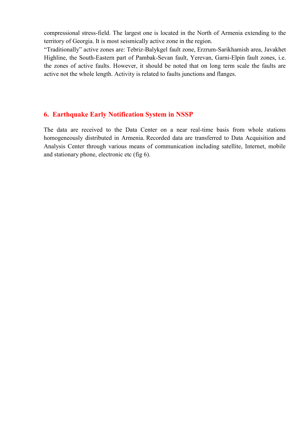compressional stress-field. The largest one is located in the North of Armenia extending to the territory of Georgia. It is most seismically active zone in the region.

"Traditionally" active zones are: Tebriz-Balykgel fault zone, Erzrum-Sarikhamish area, Javakhet Highline, the South-Eastern part of Pambak-Sevan fault, Yerevan, Garni-Elpin fault zones, i.e. the zones of active faults. However, it should be noted that on long term scale the faults are active not the whole length. Activity is related to faults junctions and flanges.

#### **6. Earthquake Early Notification System in NSSP**

The data are received to the Data Center on a near real-time basis from whole stations homogeneously distributed in Armenia. Recorded data are transferred to Data Acquisition and Analysis Center through various means of communication including satellite, Internet, mobile and stationary phone, electronic etc (fig 6).